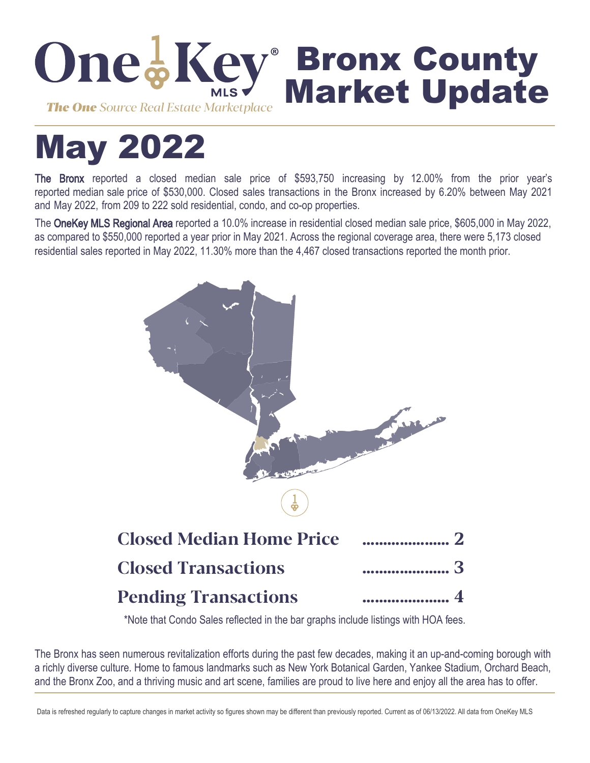

# May 2022

The Bronx reported a closed median sale price of \$593,750 increasing by 12.00% from the prior year's reported median sale price of \$530,000. Closed sales transactions in the Bronx increased by 6.20% between May 2021 and May 2022, from 209 to 222 sold residential, condo, and co-op properties.

The OneKey MLS Regional Area reported a 10.0% increase in residential closed median sale price, \$605,000 in May 2022, as compared to \$550,000 reported a year prior in May 2021. Across the regional coverage area, there were 5,173 closed residential sales reported in May 2022, 11.30% more than the 4,467 closed transactions reported the month prior.



\*Note that Condo Sales reflected in the bar graphs include listings with HOA fees.

The Bronx has seen numerous revitalization efforts during the past few decades, making it an up-and-coming borough with a richly diverse culture. Home to famous landmarks such as New York Botanical Garden, Yankee Stadium, Orchard Beach, and the Bronx Zoo, and a thriving music and art scene, families are proud to live here and enjoy all the area has to offer.

Data is refreshed regularly to capture changes in market activity so figures shown may be different than previously reported. Current as of 06/13/2022. All data from OneKey MLS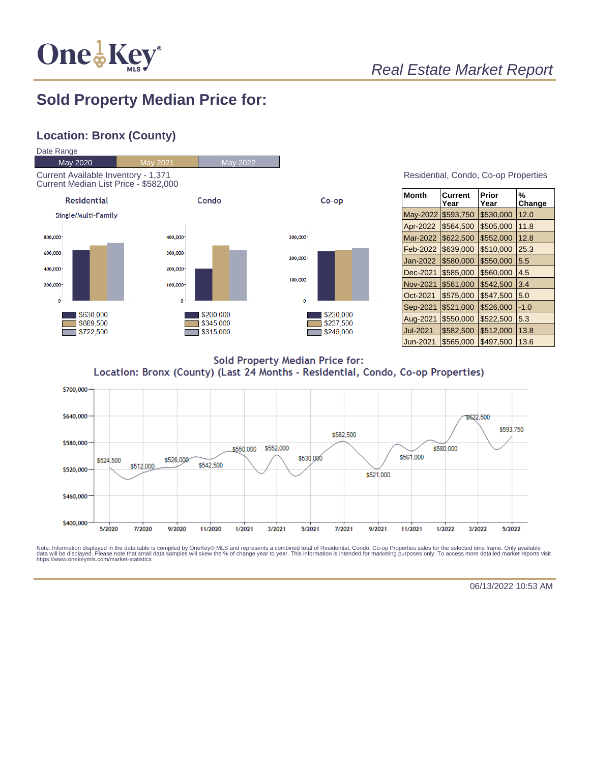

## Real Estate Market Report

## **Sold Property Median Price for:**

## **Location: Bronx (County)**



| Residential, Condo, Co-op Properties |  |  |
|--------------------------------------|--|--|
|                                      |  |  |

| <b>Month</b>    | Current<br>Year | Prior<br>Year | %<br>Change |
|-----------------|-----------------|---------------|-------------|
| May-2022        | \$593,750       | \$530,000     | 12.0        |
| Apr-2022        | \$564,500       | \$505,000     | 11.8        |
| Mar-2022        | \$622,500       | \$552,000     | 12.8        |
| Feb-2022        | \$639,000       | \$510,000     | 25.3        |
| Jan-2022        | \$580,000       | \$550,000     | 5.5         |
| Dec-2021        | \$585,000       | \$560,000     | 4.5         |
| <b>Nov-2021</b> | \$561,000       | \$542,500     | 3.4         |
| Oct-2021        | \$575,000       | \$547,500     | 5.0         |
| Sep-2021        | \$521,000       | \$526,000     | $-1.0$      |
| Aug-2021        | \$550,000       | \$522,500     | 5.3         |
| Jul-2021        | \$582,500       | \$512,000     | 13.8        |
| Jun-2021        | \$565.000       | \$497,500     | 13.6        |

**Sold Property Median Price for:** Location: Bronx (County) (Last 24 Months - Residential, Condo, Co-op Properties)



Note: Information displayed in the data table is compiled by OneKey® MLS and represents a combined total of Residential, Condo, Co-op Properties sales for the selected time frame. Only available<br>data will be displayed. Pl

06/13/2022 10:53 AM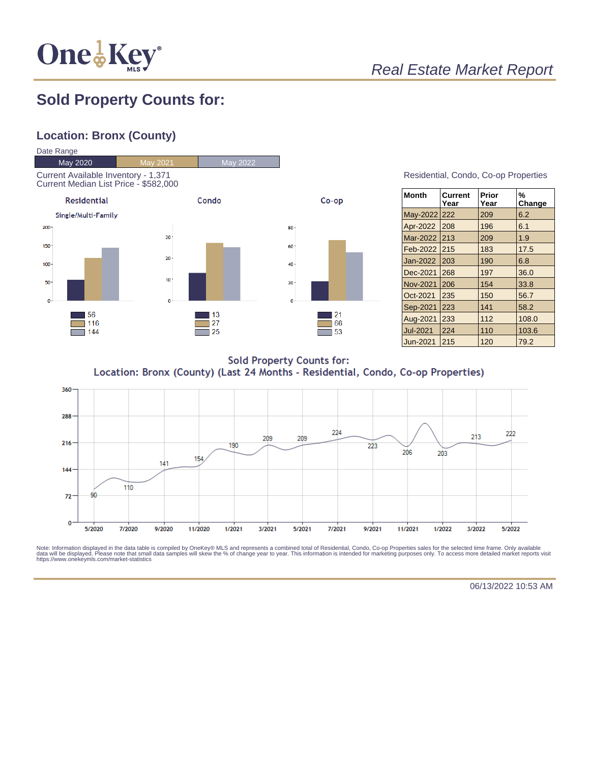

# Real Estate Market Report

## **Sold Property Counts for:**

## **Location: Bronx (County)**



#### Residential, Condo, Co-op Properties

| <b>Month</b>    | <b>Current</b><br>Year | Prior<br>Year | %<br>Change |
|-----------------|------------------------|---------------|-------------|
| May-2022 222    |                        | 209           | 6.2         |
| Apr-2022        | 208                    | 196           | 6.1         |
| Mar-2022        | 213                    | 209           | 1.9         |
| Feb-2022        | 215                    | 183           | 17.5        |
| Jan-2022        | 203                    | 190           | 6.8         |
| Dec-2021        | 268                    | 197           | 36.0        |
| <b>Nov-2021</b> | 206                    | 154           | 33.8        |
| Oct-2021        | 235                    | 150           | 56.7        |
| Sep-2021        | 223                    | 141           | 58.2        |
| Aug-2021        | 233                    | 112           | 108.0       |
| <b>Jul-2021</b> | 224                    | 110           | 103.6       |
| Jun-2021        | 215                    | 120           | 79.2        |

**Sold Property Counts for:** Location: Bronx (County) (Last 24 Months - Residential, Condo, Co-op Properties)



Note: Information displayed in the data table is compiled by OneKey® MLS and represents a combined total of Residential, Condo, Co-op Properties sales for the selected time frame. Only available<br>data will be displayed. Pl

06/13/2022 10:53 AM